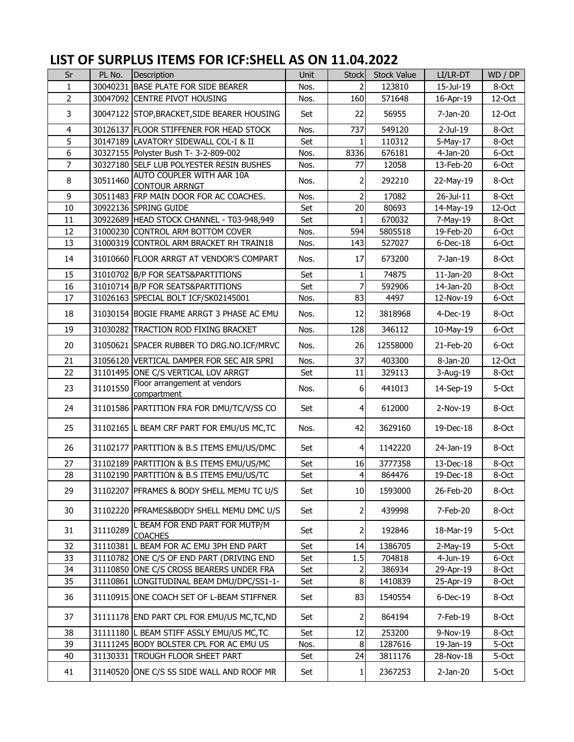## **LIST OF SURPLUS ITEMS FOR ICF:SHELL AS ON 11.04.2022**

| Sr             | PL No.   | Description                                        | <b>Unit</b> | <b>Stock</b>   | <b>Stock Value</b> | LI/LR-DT     | WD / DP |
|----------------|----------|----------------------------------------------------|-------------|----------------|--------------------|--------------|---------|
| 1              |          | 30040231 BASE PLATE FOR SIDE BEARER                | Nos.        | $\overline{2}$ | 123810             | 15-Jul-19    | 8-Oct   |
| $\overline{2}$ |          | 30047092 CENTRE PIVOT HOUSING                      | Nos.        | 160            | 571648             | 16-Apr-19    | 12-Oct  |
| 3              |          | 30047122 STOP, BRACKET, SIDE BEARER HOUSING        | Set         | 22             | 56955              | 7-Jan-20     | 12-Oct  |
| 4              |          | 30126137 FLOOR STIFFENER FOR HEAD STOCK            | Nos.        | 737            | 549120             | $2-Jul-19$   | 8-Oct   |
| 5              |          | 30147189 LAVATORY SIDEWALL COL-I & II              | Set         | $\mathbf{1}$   | 110312             | 5-May-17     | 8-Oct   |
| 6              |          | 30327155 Polyster Bush T- 3-2-809-002              | Nos.        | 8336           | 676181             | $4-Jan-20$   | 6-Oct   |
| $\overline{7}$ |          | 30327180 SELF LUB POLYESTER RESIN BUSHES           | Nos.        | 77             | 12058              | 13-Feb-20    | 6-Oct   |
| 8              | 30511460 | AUTO COUPLER WITH AAR 10A<br><b>CONTOUR ARRNGT</b> | Nos.        | $\overline{2}$ | 292210             | 22-May-19    | 8-Oct   |
| 9              |          | 30511483 FRP MAIN DOOR FOR AC COACHES.             | Nos.        | $\overline{2}$ | 17082              | 26-Jul-11    | 8-Oct   |
| 10             |          | 30922136 SPRING GUIDE                              | Set         | 20             | 80693              | 14-May-19    | 12-Oct  |
| 11             |          | 30922689 HEAD STOCK CHANNEL - T03-948,949          | Set         | $\mathbf{1}$   | 670032             | 7-May-19     | 8-Oct   |
| 12             |          | 31000230 CONTROL ARM BOTTOM COVER                  | Nos.        | 594            | 5805518            | 19-Feb-20    | 6-Oct   |
| 13             |          | 31000319 CONTROL ARM BRACKET RH TRAIN18            | Nos.        | 143            | 527027             | $6$ -Dec-18  | 6-Oct   |
| 14             |          | 31010660 FLOOR ARRGT AT VENDOR'S COMPART           | Nos.        | 17             | 673200             | $7-Jan-19$   | 8-Oct   |
| 15             |          | 31010702 B/P FOR SEATS&PARTITIONS                  | Set         | 1              | 74875              | $11$ -Jan-20 | 8-Oct   |
| 16             |          | 31010714 B/P FOR SEATS&PARTITIONS                  | Set         | $\overline{z}$ | 592906             | 14-Jan-20    | 8-Oct   |
| 17             |          | 31026163 SPECIAL BOLT ICF/SK02145001               | Nos.        | 83             | 4497               | 12-Nov-19    | 6-Oct   |
| 18             |          | 31030154 BOGIE FRAME ARRGT 3 PHASE AC EMU          | Nos.        | 12             | 3818968            | 4-Dec-19     | 8-Oct   |
| 19             |          | 31030282 TRACTION ROD FIXING BRACKET               | Nos.        | 128            | 346112             | 10-May-19    | 6-Oct   |
| 20             |          | 31050621 SPACER RUBBER TO DRG.NO.ICF/MRVC          | Nos.        | 26             | 12558000           | 21-Feb-20    | 6-Oct   |
| 21             |          | 31056120 VERTICAL DAMPER FOR SEC AIR SPRI          | Nos.        | 37             | 403300             | 8-Jan-20     | 12-Oct  |
| 22             |          | 31101495 ONE C/S VERTICAL LOV ARRGT                | Set         | 11             | 329113             | 3-Aug-19     | 8-Oct   |
| 23             | 31101550 | Floor arrangement at vendors<br>compartment        | Nos.        | $6 \mid$       | 441013             | 14-Sep-19    | 5-Oct   |
| 24             |          | 31101586 PARTITION FRA FOR DMU/TC/V/SS CO          | Set         | $\overline{4}$ | 612000             | 2-Nov-19     | 8-Oct   |
| 25             |          | 31102165 L BEAM CRF PART FOR EMU/US MC, TC         | Nos.        | 42             | 3629160            | 19-Dec-18    | 8-Oct   |
| 26             |          | 31102177 PARTITION & B.S ITEMS EMU/US/DMC          | Set         | $\overline{4}$ | 1142220            | 24-Jan-19    | 8-Oct   |
| 27             |          | 31102189 PARTITION & B.S ITEMS EMU/US/MC           | Set         | 16             | 3777358            | 13-Dec-18    | 8-Oct   |
| 28             |          | 31102190 PARTITION & B.S ITEMS EMU/US/TC           | Set         | $\overline{4}$ | 864476             | 19-Dec-18    | 8-Oct   |
| 29             |          | 31102207 PFRAMES & BODY SHELL MEMU TC U/S          | Set         | 10             | 1593000            | 26-Feb-20    | 8-Oct   |
| 30             |          | 31102220 PFRAMES&BODY SHELL MEMU DMC U/S           | Set         | $\mathbf{2}$   | 439998             | 7-Feb-20     | 8-Oct   |
| 31             | 31110289 | L BEAM FOR END PART FOR MUTP/M<br><b>COACHES</b>   | Set         | $\mathbf{z}$   | 192846             | 18-Mar-19    | 5-Oct   |
| 32             |          | 31110381 L BEAM FOR AC EMU 3PH END PART            | Set         | 14             | 1386705            | $2-May-19$   | 5-Oct   |
| 33             |          | 31110782 ONE C/S OF END PART (DRIVING END          | Set         | 1.5            | 704818             | $4-Jun-19$   | 6-Oct   |
| 34             |          | 31110850 ONE C/S CROSS BEARERS UNDER FRA           | Set         | $\mathbf{z}$   | 386934             | 29-Apr-19    | 8-Oct   |
| 35             |          | 31110861 LONGITUDINAL BEAM DMU/DPC/SS1-1-          | Set         | 8              | 1410839            | 25-Apr-19    | 8-Oct   |
| 36             |          | 31110915 ONE COACH SET OF L-BEAM STIFFNER          | Set         | 83             | 1540554            | $6$ -Dec-19  | 8-Oct   |
| 37             |          | 31111178 END PART CPL FOR EMU/US MC, TC, ND        | Set         | $\overline{2}$ | 864194             | 7-Feb-19     | 8-Oct   |
| 38             |          | 31111180 L BEAM STIFF ASSLY EMU/US MC, TC          | Set         | 12             | 253200             | 9-Nov-19     | 8-Oct   |
| 39             |          | 31111245 BODY BOLSTER CPL FOR AC EMU US            | Nos.        | 8 <sup>1</sup> | 1287616            | 19-Jan-19    | 5-Oct   |
| 40             |          | 31130331 TROUGH FLOOR SHEET PART                   | Set         | 24             | 3811176            | 28-Nov-18    | 5-Oct   |
| 41             |          | 31140520 ONE C/S SS SIDE WALL AND ROOF MR          | Set         | $1\vert$       | 2367253            | $2-Jan-20$   | 5-Oct   |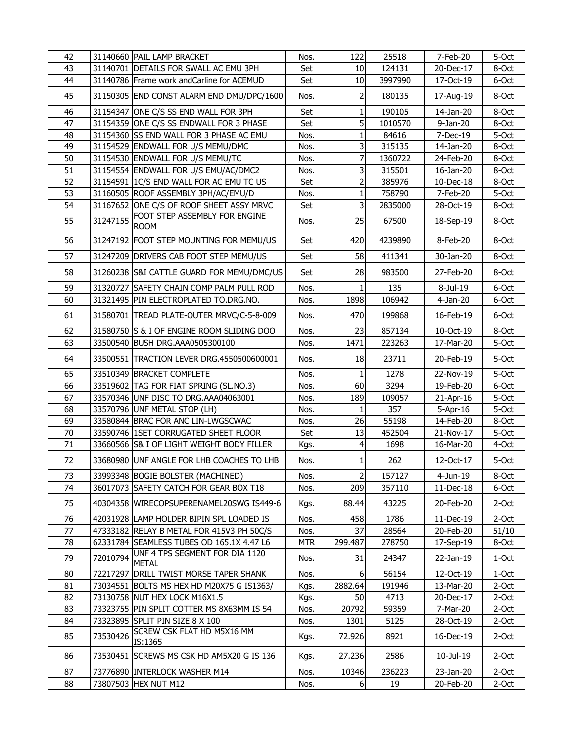| 42     |          | 31140660 PAIL LAMP BRACKET                     | Nos.       | 122             | 25518   | 7-Feb-20       | 5-Oct |
|--------|----------|------------------------------------------------|------------|-----------------|---------|----------------|-------|
| 43     |          | 31140701 DETAILS FOR SWALL AC EMU 3PH          | Set        | 10              | 124131  | 20-Dec-17      | 8-Oct |
| 44     |          | 31140786 Frame work andCarline for ACEMUD      | Set        | 10              | 3997990 | 17-Oct-19      | 6-Oct |
| 45     |          | 31150305 END CONST ALARM END DMU/DPC/1600      | Nos.       | $\overline{2}$  | 180135  | 17-Aug-19      | 8-Oct |
| 46     |          | 31154347 ONE C/S SS END WALL FOR 3PH           | Set        | $1\overline{ }$ | 190105  | 14-Jan-20      | 8-Oct |
| 47     |          | 31154359 ONE C/S SS ENDWALL FOR 3 PHASE        | Set        | 5 <sup>1</sup>  | 1010570 | 9-Jan-20       | 8-Oct |
| 48     |          | 31154360 SS END WALL FOR 3 PHASE AC EMU        | Nos.       | $1\overline{ }$ | 84616   | 7-Dec-19       | 5-Oct |
| 49     |          | 31154529 ENDWALL FOR U/S MEMU/DMC              | Nos.       | 3               | 315135  | 14-Jan-20      | 8-Oct |
| 50     |          | 31154530 ENDWALL FOR U/S MEMU/TC               | Nos.       | 7               | 1360722 | 24-Feb-20      | 8-Oct |
| 51     |          | 31154554 ENDWALL FOR U/S EMU/AC/DMC2           | Nos.       | 3               | 315501  | 16-Jan-20      | 8-Oct |
| 52     |          | 31154591 IC/S END WALL FOR AC EMU TC US        | Set        | 2               | 385976  | 10-Dec-18      | 8-Oct |
| 53     |          | 31160505 ROOF ASSEMBLY 3PH/AC/EMU/D            | Nos.       | $\mathbf{1}$    | 758790  | 7-Feb-20       | 5-Oct |
| 54     |          | 31167652 ONE C/S OF ROOF SHEET ASSY MRVC       | Set        | $\overline{3}$  | 2835000 | 28-Oct-19      | 8-Oct |
| 55     | 31247155 | FOOT STEP ASSEMBLY FOR ENGINE<br><b>ROOM</b>   | Nos.       | 25              | 67500   | 18-Sep-19      | 8-Oct |
| 56     |          | 31247192 FOOT STEP MOUNTING FOR MEMU/US        | Set        | 420             | 4239890 | 8-Feb-20       | 8-Oct |
| 57     |          | 31247209 DRIVERS CAB FOOT STEP MEMU/US         | Set        | 58              | 411341  | 30-Jan-20      | 8-Oct |
| 58     |          | 31260238 S&I CATTLE GUARD FOR MEMU/DMC/US      | Set        | 28              | 983500  | 27-Feb-20      | 8-Oct |
| 59     |          | 31320727 SAFETY CHAIN COMP PALM PULL ROD       | Nos.       | $\mathbf{1}$    | 135     | 8-Jul-19       | 6-Oct |
| 60     |          | 31321495 PIN ELECTROPLATED TO.DRG.NO.          | Nos.       | 1898            | 106942  | $4-Jan-20$     | 6-Oct |
| 61     |          | 31580701 TREAD PLATE-OUTER MRVC/C-5-8-009      | Nos.       | 470             | 199868  | 16-Feb-19      | 6-Oct |
| 62     |          | 31580750 S & I OF ENGINE ROOM SLIDING DOO      | Nos.       | 23              | 857134  | 10-Oct-19      | 8-Oct |
| 63     |          | 33500540 BUSH DRG.AAA0505300100                | Nos.       | 1471            | 223263  | 17-Mar-20      | 5-Oct |
| 64     |          | 33500551  TRACTION LEVER DRG.4550500600001     | Nos.       | 18              | 23711   | 20-Feb-19      | 5-Oct |
| 65     |          | 33510349 BRACKET COMPLETE                      | Nos.       | $\mathbf{1}$    | 1278    | 22-Nov-19      | 5-Oct |
| 66     |          | 33519602 TAG FOR FIAT SPRING (SL.NO.3)         | Nos.       | 60              | 3294    | 19-Feb-20      | 6-Oct |
| 67     |          | 33570346 UNF DISC TO DRG.AAA04063001           | Nos.       | 189             | 109057  | 21-Apr-16      | 5-Oct |
| 68     |          | 33570796 UNF METAL STOP (LH)                   | Nos.       | $\mathbf{1}$    | 357     | $5 - Apr - 16$ | 5-Oct |
| 69     |          | 33580844 BRAC FOR ANC LIN-LWGSCWAC             | Nos.       | 26              | 55198   | 14-Feb-20      | 8-Oct |
| $70\,$ |          | 33590746 ISET CORRUGATED SHEET FLOOR           | Set        | 13              | 452504  | 21-Nov-17      | 5-Oct |
| 71     |          | 33660566 S& I OF LIGHT WEIGHT BODY FILLER      | Kgs.       | 4               | 1698    | 16-Mar-20      | 4-Oct |
| 72     |          | 33680980 UNF ANGLE FOR LHB COACHES TO LHB      | Nos.       | 1               | 262     | 12-Oct-17      | 5-Oct |
| 73     |          | 33993348 BOGIE BOLSTER (MACHINED)              | Nos.       | $\mathbf{2}$    | 157127  | $4$ -Jun-19    | 8-Oct |
| 74     |          | 36017073 SAFETY CATCH FOR GEAR BOX T18         | Nos.       | 209             | 357110  | 11-Dec-18      | 6-Oct |
| 75     |          | 40304358 WIRECOPSUPERENAMEL20SWG IS449-6       | Kgs.       | 88.44           | 43225   | 20-Feb-20      | 2-Oct |
| 76     |          | 42031928 LAMP HOLDER BIPIN SPL LOADED IS       | Nos.       | 458             | 1786    | 11-Dec-19      | 2-Oct |
| 77     |          | 47333182 RELAY B METAL FOR 415V3 PH 50C/S      | Nos.       | 37              | 28564   | 20-Feb-20      | 51/10 |
| 78     |          | 62331784 SEAMLESS TUBES OD 165.1X 4.47 L6      | <b>MTR</b> | 299.487         | 278750  | 17-Sep-19      | 8-Oct |
| 79     | 72010794 | UNF 4 TPS SEGMENT FOR DIA 1120<br><b>METAL</b> | Nos.       | 31              | 24347   | 22-Jan-19      | 1-Oct |
| 80     |          | 72217297 DRILL TWIST MORSE TAPER SHANK         | Nos.       | $6 \mid$        | 56154   | 12-Oct-19      | 1-Oct |
| 81     |          | 73034551 BOLTS MS HEX HD M20X75 G IS1363/      | Kgs.       | 2882.64         | 191946  | 13-Mar-20      | 2-Oct |
| 82     |          | 73130758 NUT HEX LOCK M16X1.5                  | Kgs.       | 50              | 4713    | 20-Dec-17      | 2-Oct |
| 83     |          | 73323755 PIN SPLIT COTTER MS 8X63MM IS 54      | Nos.       | 20792           | 59359   | 7-Mar-20       | 2-Oct |
| 84     |          | 73323895 SPLIT PIN SIZE 8 X 100                | Nos.       | 1301            | 5125    | 28-Oct-19      | 2-Oct |
| 85     | 73530426 | SCREW CSK FLAT HD M5X16 MM<br>IS:1365          | Kgs.       | 72.926          | 8921    | 16-Dec-19      | 2-Oct |
| 86     |          | 73530451 SCREWS MS CSK HD AM5X20 G IS 136      | Kgs.       | 27.236          | 2586    | 10-Jul-19      | 2-Oct |
| 87     |          | 73776890 INTERLOCK WASHER M14                  | Nos.       | 10346           | 236223  | 23-Jan-20      | 2-Oct |
| 88     |          | 73807503 HEX NUT M12                           | Nos.       | $6 \overline{}$ | 19      | 20-Feb-20      | 2-Oct |